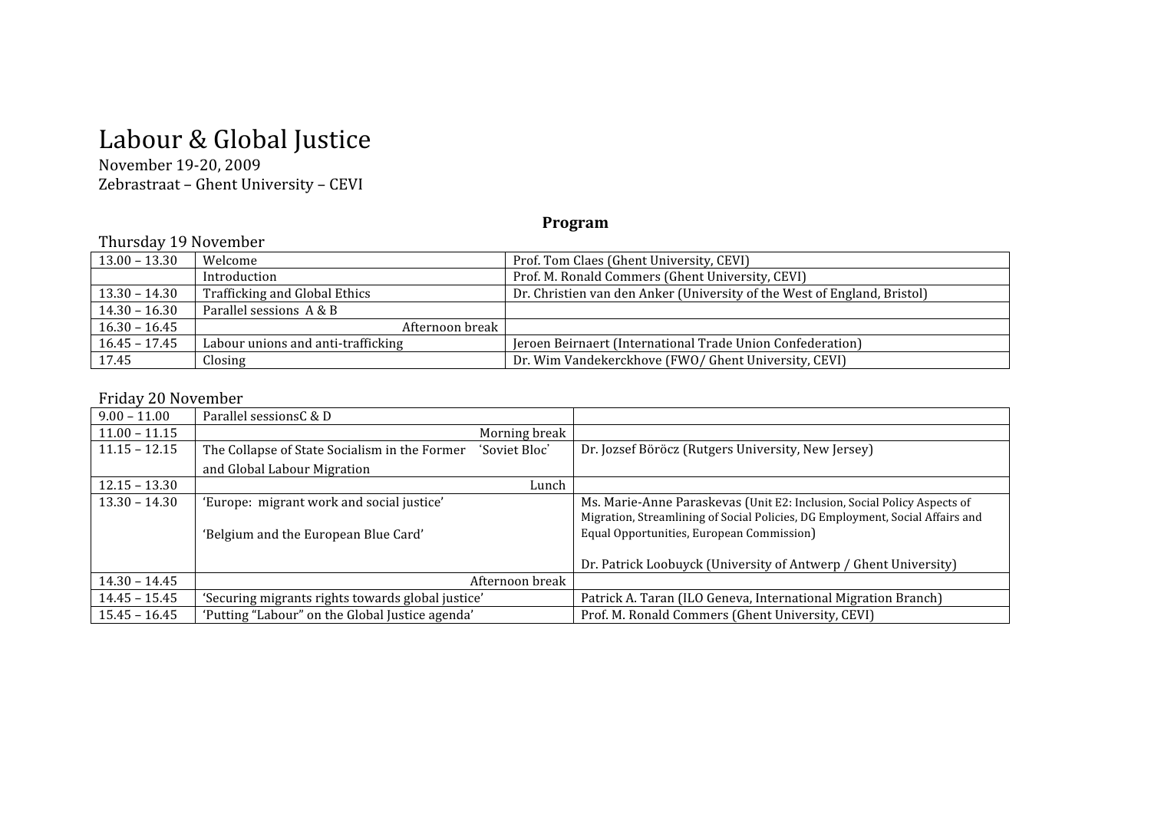# Labour & Global Justice

# November 19‐20, 2009 Zebrastraat – Ghent University – CEVI

## **Program**

#### Thursday 19 November

|                 | 1.1010000,<br>1.101                |                                                                          |  |
|-----------------|------------------------------------|--------------------------------------------------------------------------|--|
| $13.00 - 13.30$ | Welcome                            | Prof. Tom Claes (Ghent University, CEVI)                                 |  |
|                 | Introduction                       | Prof. M. Ronald Commers (Ghent University, CEVI)                         |  |
| $13.30 - 14.30$ | Trafficking and Global Ethics      | Dr. Christien van den Anker (University of the West of England, Bristol) |  |
| $14.30 - 16.30$ | Parallel sessions A & B            |                                                                          |  |
| $16.30 - 16.45$ | Afternoon break                    |                                                                          |  |
| $16.45 - 17.45$ | Labour unions and anti-trafficking | Jeroen Beirnaert (International Trade Union Confederation)               |  |
| 17.45           | Closing                            | Dr. Wim Vandekerckhove (FWO/ Ghent University, CEVI)                     |  |

### Friday 20 November

| $9.00 - 11.00$  | Parallel sessionsC & D                                         |                                                                               |
|-----------------|----------------------------------------------------------------|-------------------------------------------------------------------------------|
| $11.00 - 11.15$ | Morning break                                                  |                                                                               |
| $11.15 - 12.15$ | The Collapse of State Socialism in the Former<br>'Soviet Bloc' | Dr. Jozsef Böröcz (Rutgers University, New Jersey)                            |
|                 | and Global Labour Migration                                    |                                                                               |
| $12.15 - 13.30$ | Lunch                                                          |                                                                               |
| $13.30 - 14.30$ | 'Europe: migrant work and social justice'                      | Ms. Marie-Anne Paraskevas (Unit E2: Inclusion, Social Policy Aspects of       |
|                 |                                                                | Migration, Streamlining of Social Policies, DG Employment, Social Affairs and |
|                 | 'Belgium and the European Blue Card'                           | Equal Opportunities, European Commission)                                     |
|                 |                                                                |                                                                               |
|                 |                                                                | Dr. Patrick Loobuyck (University of Antwerp / Ghent University)               |
| $14.30 - 14.45$ | Afternoon break                                                |                                                                               |
| $14.45 - 15.45$ | 'Securing migrants rights towards global justice'              | Patrick A. Taran (ILO Geneva, International Migration Branch)                 |
| $15.45 - 16.45$ | 'Putting "Labour" on the Global Justice agenda'                | Prof. M. Ronald Commers (Ghent University, CEVI)                              |